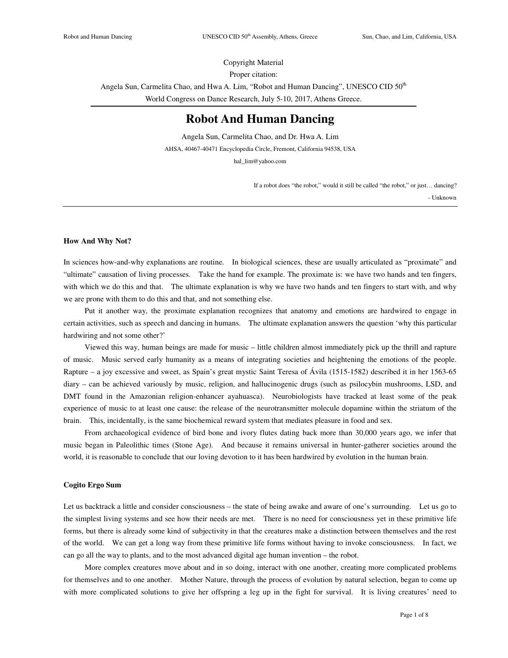Copyright Material Proper citation: Angela Sun, Carmelita Chao, and Hwa A. Lim, "Robot and Human Dancing", UNESCO CID 50<sup>th</sup> World Congress on Dance Research, July 5-10, 2017, Athens Greece.

# **Robot And Human Dancing**

Angela Sun, Carmelita Chao, and Dr. Hwa A. Lim AHSA, 40467-40471 Encyclopedia Circle, Fremont, California 94538, USA hal\_lim@yahoo.com

If a robot does "the robot," would it still be called "the robot," or just… dancing?

- Unknown

## **How And Why Not?**

In sciences how-and-why explanations are routine. In biological sciences, these are usually articulated as "proximate" and "ultimate" causation of living processes. Take the hand for example. The proximate is: we have two hands and ten fingers, with which we do this and that. The ultimate explanation is why we have two hands and ten fingers to start with, and why we are prone with them to do this and that, and not something else.

Put it another way, the proximate explanation recognizes that anatomy and emotions are hardwired to engage in certain activities, such as speech and dancing in humans. The ultimate explanation answers the question 'why this particular hardwiring and not some other?'

Viewed this way, human beings are made for music – little children almost immediately pick up the thrill and rapture of music. Music served early humanity as a means of integrating societies and heightening the emotions of the people. Rapture – a joy excessive and sweet, as Spain's great mystic Saint Teresa of Ávila (1515-1582) described it in her 1563-65 diary – can be achieved variously by music, religion, and hallucinogenic drugs (such as psilocybin mushrooms, LSD, and DMT found in the Amazonian religion-enhancer ayahuasca). Neurobiologists have tracked at least some of the peak experience of music to at least one cause: the release of the neurotransmitter molecule dopamine within the striatum of the brain. This, incidentally, is the same biochemical reward system that mediates pleasure in food and sex.

From archaeological evidence of bird bone and ivory flutes dating back more than 30,000 years ago, we infer that music began in Paleolithic times (Stone Age). And because it remains universal in hunter-gatherer societies around the world, it is reasonable to conclude that our loving devotion to it has been hardwired by evolution in the human brain.

## **Cogito Ergo Sum**

Let us backtrack a little and consider consciousness – the state of being awake and aware of one's surrounding. Let us go to the simplest living systems and see how their needs are met. There is no need for consciousness yet in these primitive life forms, but there is already some kind of subjectivity in that the creatures make a distinction between themselves and the rest of the world. We can get a long way from these primitive life forms without having to invoke consciousness. In fact, we can go all the way to plants, and to the most advanced digital age human invention – the robot.

More complex creatures move about and in so doing, interact with one another, creating more complicated problems for themselves and to one another. Mother Nature, through the process of evolution by natural selection, began to come up with more complicated solutions to give her offspring a leg up in the fight for survival. It is living creatures' need to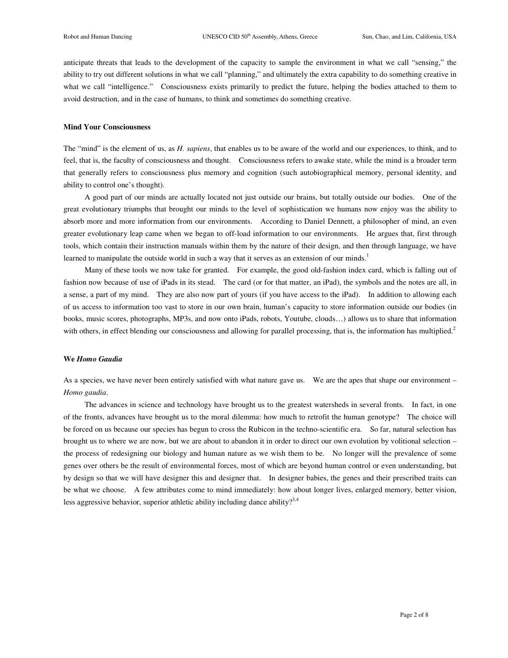anticipate threats that leads to the development of the capacity to sample the environment in what we call "sensing," the ability to try out different solutions in what we call "planning," and ultimately the extra capability to do something creative in what we call "intelligence." Consciousness exists primarily to predict the future, helping the bodies attached to them to avoid destruction, and in the case of humans, to think and sometimes do something creative.

#### **Mind Your Consciousness**

The "mind" is the element of us, as *H. sapiens*, that enables us to be aware of the world and our experiences, to think, and to feel, that is, the faculty of consciousness and thought. Consciousness refers to awake state, while the mind is a broader term that generally refers to consciousness plus memory and cognition (such autobiographical memory, personal identity, and ability to control one's thought).

A good part of our minds are actually located not just outside our brains, but totally outside our bodies. One of the great evolutionary triumphs that brought our minds to the level of sophistication we humans now enjoy was the ability to absorb more and more information from our environments. According to Daniel Dennett, a philosopher of mind, an even greater evolutionary leap came when we began to off-load information to our environments. He argues that, first through tools, which contain their instruction manuals within them by the nature of their design, and then through language, we have learned to manipulate the outside world in such a way that it serves as an extension of our minds.<sup>1</sup>

Many of these tools we now take for granted. For example, the good old-fashion index card, which is falling out of fashion now because of use of iPads in its stead. The card (or for that matter, an iPad), the symbols and the notes are all, in a sense, a part of my mind. They are also now part of yours (if you have access to the iPad). In addition to allowing each of us access to information too vast to store in our own brain, human's capacity to store information outside our bodies (in books, music scores, photographs, MP3s, and now onto iPads, robots, Youtube, clouds…) allows us to share that information with others, in effect blending our consciousness and allowing for parallel processing, that is, the information has multiplied.<sup>2</sup>

## **We** *Homo Gaudia*

As a species, we have never been entirely satisfied with what nature gave us. We are the apes that shape our environment – *Homo gaudia*.

The advances in science and technology have brought us to the greatest watersheds in several fronts. In fact, in one of the fronts, advances have brought us to the moral dilemma: how much to retrofit the human genotype? The choice will be forced on us because our species has begun to cross the Rubicon in the techno-scientific era. So far, natural selection has brought us to where we are now, but we are about to abandon it in order to direct our own evolution by volitional selection – the process of redesigning our biology and human nature as we wish them to be. No longer will the prevalence of some genes over others be the result of environmental forces, most of which are beyond human control or even understanding, but by design so that we will have designer this and designer that. In designer babies, the genes and their prescribed traits can be what we choose. A few attributes come to mind immediately: how about longer lives, enlarged memory, better vision, less aggressive behavior, superior athletic ability including dance ability?<sup>3,4</sup>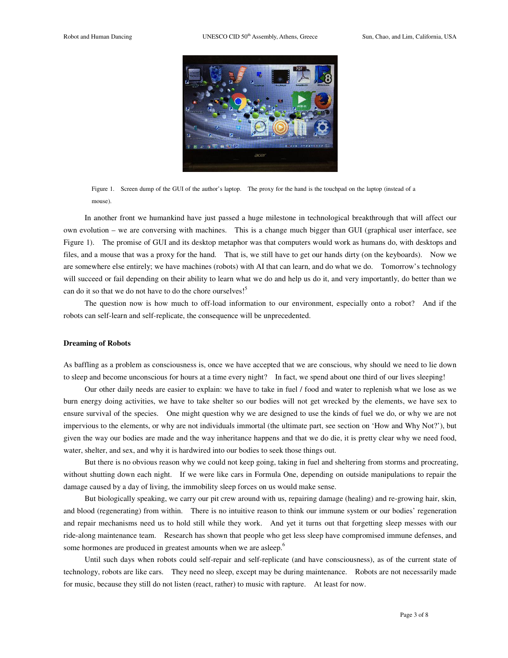

Figure 1. Screen dump of the GUI of the author's laptop. The proxy for the hand is the touchpad on the laptop (instead of a mouse).

In another front we humankind have just passed a huge milestone in technological breakthrough that will affect our own evolution – we are conversing with machines. This is a change much bigger than GUI (graphical user interface, see Figure 1). The promise of GUI and its desktop metaphor was that computers would work as humans do, with desktops and files, and a mouse that was a proxy for the hand. That is, we still have to get our hands dirty (on the keyboards). Now we are somewhere else entirely; we have machines (robots) with AI that can learn, and do what we do. Tomorrow's technology will succeed or fail depending on their ability to learn what we do and help us do it, and very importantly, do better than we can do it so that we do not have to do the chore ourselves!<sup>5</sup>

The question now is how much to off-load information to our environment, especially onto a robot? And if the robots can self-learn and self-replicate, the consequence will be unprecedented.

## **Dreaming of Robots**

As baffling as a problem as consciousness is, once we have accepted that we are conscious, why should we need to lie down to sleep and become unconscious for hours at a time every night? In fact, we spend about one third of our lives sleeping!

Our other daily needs are easier to explain: we have to take in fuel / food and water to replenish what we lose as we burn energy doing activities, we have to take shelter so our bodies will not get wrecked by the elements, we have sex to ensure survival of the species. One might question why we are designed to use the kinds of fuel we do, or why we are not impervious to the elements, or why are not individuals immortal (the ultimate part, see section on 'How and Why Not?'), but given the way our bodies are made and the way inheritance happens and that we do die, it is pretty clear why we need food, water, shelter, and sex, and why it is hardwired into our bodies to seek those things out.

But there is no obvious reason why we could not keep going, taking in fuel and sheltering from storms and procreating, without shutting down each night. If we were like cars in Formula One, depending on outside manipulations to repair the damage caused by a day of living, the immobility sleep forces on us would make sense.

But biologically speaking, we carry our pit crew around with us, repairing damage (healing) and re-growing hair, skin, and blood (regenerating) from within. There is no intuitive reason to think our immune system or our bodies' regeneration and repair mechanisms need us to hold still while they work. And yet it turns out that forgetting sleep messes with our ride-along maintenance team. Research has shown that people who get less sleep have compromised immune defenses, and some hormones are produced in greatest amounts when we are asleep.<sup>6</sup>

Until such days when robots could self-repair and self-replicate (and have consciousness), as of the current state of technology, robots are like cars. They need no sleep, except may be during maintenance. Robots are not necessarily made for music, because they still do not listen (react, rather) to music with rapture. At least for now.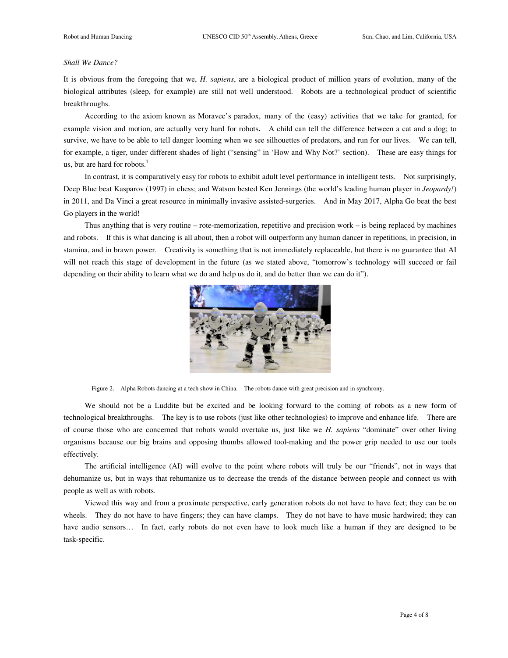## *Shall We Dance?*

It is obvious from the foregoing that we, *H. sapiens*, are a biological product of million years of evolution, many of the biological attributes (sleep, for example) are still not well understood. Robots are a technological product of scientific breakthroughs.

According to the axiom known as Moravec's paradox, many of the (easy) activities that we take for granted, for example vision and motion, are actually very hard for robots. A child can tell the difference between a cat and a dog; to survive, we have to be able to tell danger looming when we see silhouettes of predators, and run for our lives. We can tell, for example, a tiger, under different shades of light ("sensing" in 'How and Why Not?' section). These are easy things for us, but are hard for robots.<sup>7</sup>

In contrast, it is comparatively easy for robots to exhibit adult level performance in intelligent tests. Not surprisingly, Deep Blue beat Kasparov (1997) in chess; and Watson bested Ken Jennings (the world's leading human player in *Jeopardy!*) in 2011, and Da Vinci a great resource in minimally invasive assisted-surgeries. And in May 2017, Alpha Go beat the best Go players in the world!

Thus anything that is very routine – rote-memorization, repetitive and precision work – is being replaced by machines and robots. If this is what dancing is all about, then a robot will outperform any human dancer in repetitions, in precision, in stamina, and in brawn power. Creativity is something that is not immediately replaceable, but there is no guarantee that AI will not reach this stage of development in the future (as we stated above, "tomorrow's technology will succeed or fail depending on their ability to learn what we do and help us do it, and do better than we can do it").



Figure 2. Alpha Robots dancing at a tech show in China. The robots dance with great precision and in synchrony.

We should not be a Luddite but be excited and be looking forward to the coming of robots as a new form of technological breakthroughs. The key is to use robots (just like other technologies) to improve and enhance life. There are of course those who are concerned that robots would overtake us, just like we *H. sapiens* "dominate" over other living organisms because our big brains and opposing thumbs allowed tool-making and the power grip needed to use our tools effectively.

The artificial intelligence (AI) will evolve to the point where robots will truly be our "friends", not in ways that dehumanize us, but in ways that rehumanize us to decrease the trends of the distance between people and connect us with people as well as with robots.

Viewed this way and from a proximate perspective, early generation robots do not have to have feet; they can be on wheels. They do not have to have fingers; they can have clamps. They do not have to have music hardwired; they can have audio sensors... In fact, early robots do not even have to look much like a human if they are designed to be task-specific.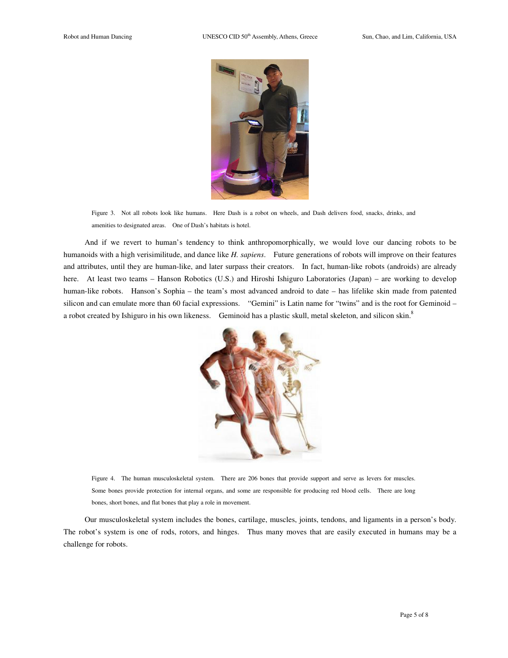

Figure 3. Not all robots look like humans. Here Dash is a robot on wheels, and Dash delivers food, snacks, drinks, and amenities to designated areas. One of Dash's habitats is hotel.

And if we revert to human's tendency to think anthropomorphically, we would love our dancing robots to be humanoids with a high verisimilitude, and dance like *H. sapiens*. Future generations of robots will improve on their features and attributes, until they are human-like, and later surpass their creators. In fact, human-like robots (androids) are already here. At least two teams – Hanson Robotics (U.S.) and Hiroshi Ishiguro Laboratories (Japan) – are working to develop human-like robots. Hanson's Sophia – the team's most advanced android to date – has lifelike skin made from patented silicon and can emulate more than 60 facial expressions. "Gemini" is Latin name for "twins" and is the root for Geminoid – a robot created by Ishiguro in his own likeness. Geminoid has a plastic skull, metal skeleton, and silicon skin.<sup>8</sup>



Figure 4. The human musculoskeletal system. There are 206 bones that provide support and serve as levers for muscles. Some bones provide protection for internal organs, and some are responsible for producing red blood cells. There are long bones, short bones, and flat bones that play a role in movement.

Our musculoskeletal system includes the bones, cartilage, muscles, joints, tendons, and ligaments in a person's body. The robot's system is one of rods, rotors, and hinges. Thus many moves that are easily executed in humans may be a challenge for robots.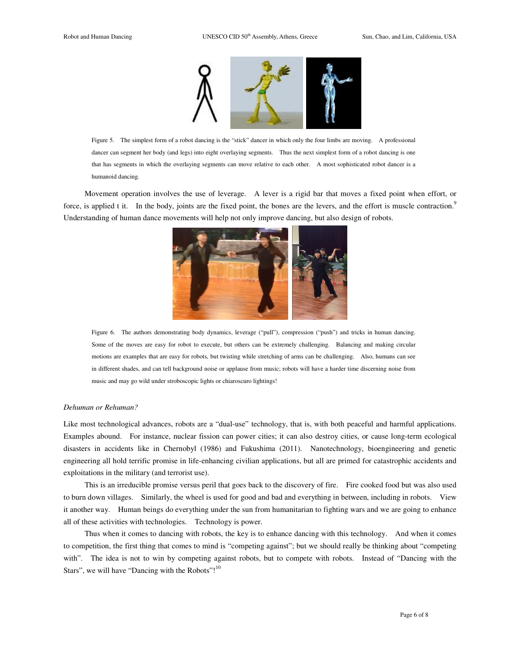

Figure 5. The simplest form of a robot dancing is the "stick" dancer in which only the four limbs are moving. A professional dancer can segment her body (and legs) into eight overlaying segments. Thus the next simplest form of a robot dancing is one that has segments in which the overlaying segments can move relative to each other. A most sophisticated robot dancer is a humanoid dancing.

Movement operation involves the use of leverage. A lever is a rigid bar that moves a fixed point when effort, or force, is applied t it. In the body, joints are the fixed point, the bones are the levers, and the effort is muscle contraction.<sup>9</sup> Understanding of human dance movements will help not only improve dancing, but also design of robots.



Figure 6. The authors demonstrating body dynamics, leverage ("pull"), compression ("push") and tricks in human dancing. Some of the moves are easy for robot to execute, but others can be extremely challenging. Balancing and making circular motions are examples that are easy for robots, but twisting while stretching of arms can be challenging. Also, humans can see in different shades, and can tell background noise or applause from music; robots will have a harder time discerning noise from music and may go wild under stroboscopic lights or chiaroscuro lightings!

#### *Dehuman or Rehuman?*

Like most technological advances, robots are a "dual-use" technology, that is, with both peaceful and harmful applications. Examples abound. For instance, nuclear fission can power cities; it can also destroy cities, or cause long-term ecological disasters in accidents like in Chernobyl (1986) and Fukushima (2011). Nanotechnology, bioengineering and genetic engineering all hold terrific promise in life-enhancing civilian applications, but all are primed for catastrophic accidents and exploitations in the military (and terrorist use).

This is an irreducible promise versus peril that goes back to the discovery of fire. Fire cooked food but was also used to burn down villages. Similarly, the wheel is used for good and bad and everything in between, including in robots. View it another way. Human beings do everything under the sun from humanitarian to fighting wars and we are going to enhance all of these activities with technologies. Technology is power.

Thus when it comes to dancing with robots, the key is to enhance dancing with this technology. And when it comes to competition, the first thing that comes to mind is "competing against"; but we should really be thinking about "competing with". The idea is not to win by competing against robots, but to compete with robots. Instead of "Dancing with the Stars", we will have "Dancing with the Robots"!<sup>10</sup>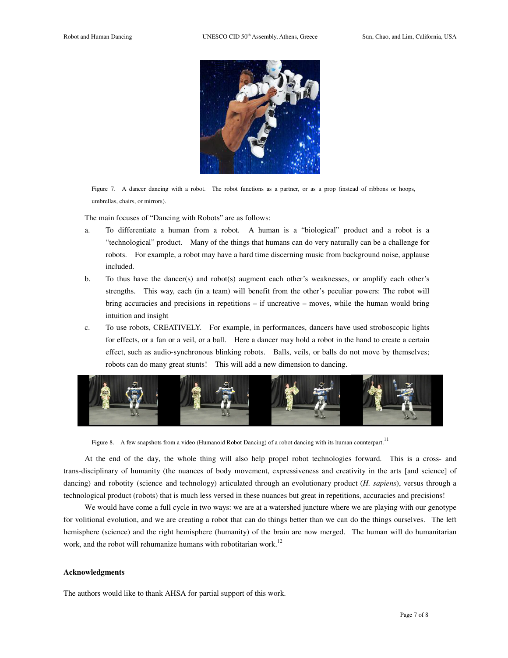

Figure 7. A dancer dancing with a robot. The robot functions as a partner, or as a prop (instead of ribbons or hoops, umbrellas, chairs, or mirrors).

The main focuses of "Dancing with Robots" are as follows:

- a. To differentiate a human from a robot. A human is a "biological" product and a robot is a "technological" product. Many of the things that humans can do very naturally can be a challenge for robots. For example, a robot may have a hard time discerning music from background noise, applause included.
- b. To thus have the dancer(s) and robot(s) augment each other's weaknesses, or amplify each other's strengths. This way, each (in a team) will benefit from the other's peculiar powers: The robot will bring accuracies and precisions in repetitions – if uncreative – moves, while the human would bring intuition and insight
- c. To use robots, CREATIVELY. For example, in performances, dancers have used stroboscopic lights for effects, or a fan or a veil, or a ball. Here a dancer may hold a robot in the hand to create a certain effect, such as audio-synchronous blinking robots. Balls, veils, or balls do not move by themselves; robots can do many great stunts! This will add a new dimension to dancing.



Figure 8. A few snapshots from a video (Humanoid Robot Dancing) of a robot dancing with its human counterpart.<sup>11</sup>

At the end of the day, the whole thing will also help propel robot technologies forward. This is a cross- and trans-disciplinary of humanity (the nuances of body movement, expressiveness and creativity in the arts [and science] of dancing) and robotity (science and technology) articulated through an evolutionary product (*H. sapiens*), versus through a technological product (robots) that is much less versed in these nuances but great in repetitions, accuracies and precisions!

We would have come a full cycle in two ways: we are at a watershed juncture where we are playing with our genotype for volitional evolution, and we are creating a robot that can do things better than we can do the things ourselves. The left hemisphere (science) and the right hemisphere (humanity) of the brain are now merged. The human will do humanitarian work, and the robot will rehumanize humans with robotitarian work.<sup>12</sup>

#### **Acknowledgments**

The authors would like to thank AHSA for partial support of this work.